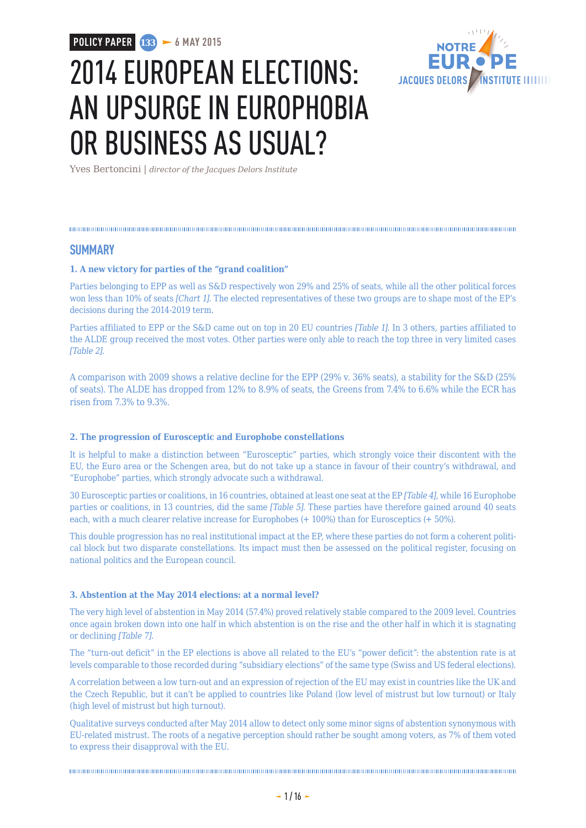**POLICY PAPER 133 6 MAY 2015** 



# 2014 EUROPEAN ELECTIONS: AN UPSURGE IN EUROPHOBIA OR BUSINESS AS USUAL?

Yves Bertoncini | *director of the Jacques Delors Institute*

#### **SUMMARY**

#### **1. A new victory for parties of the "grand coalition"**

Parties belonging to EPP as well as S&D respectively won 29% and 25% of seats, while all the other political forces won less than 10% of seats *[Chart 1]*. The elected representatives of these two groups are to shape most of the EP's decisions during the 2014-2019 term.

Parties affiliated to EPP or the S&D came out on top in 20 EU countries *[Table 1]*. In 3 others, parties affiliated to the ALDE group received the most votes. Other parties were only able to reach the top three in very limited cases *[Table 2]*.

A comparison with 2009 shows a relative decline for the EPP (29% v. 36% seats), a stability for the S&D (25% of seats). The ALDE has dropped from 12% to 8.9% of seats, the Greens from 7.4% to 6.6% while the ECR has risen from 7.3% to 9.3%.

#### **2. The progression of Eurosceptic and Europhobe constellations**

It is helpful to make a distinction between "Eurosceptic" parties, which strongly voice their discontent with the EU, the Euro area or the Schengen area, but do not take up a stance in favour of their country's withdrawal, and "Europhobe" parties, which strongly advocate such a withdrawal.

30 Eurosceptic parties or coalitions, in 16 countries, obtained at least one seat at the EP *[Table 4]*, while 16 Europhobe parties or coalitions, in 13 countries, did the same *[Table 5]*. These parties have therefore gained around 40 seats each, with a much clearer relative increase for Europhobes (+ 100%) than for Eurosceptics (+ 50%).

This double progression has no real institutional impact at the EP, where these parties do not form a coherent political block but two disparate constellations. Its impact must then be assessed on the political register, focusing on national politics and the European council.

#### **3. Abstention at the May 2014 elections: at a normal level?**

The very high level of abstention in May 2014 (57.4%) proved relatively stable compared to the 2009 level. Countries once again broken down into one half in which abstention is on the rise and the other half in which it is stagnating or declining *[Table 7]*.

The "turn-out deficit" in the EP elections is above all related to the EU's "power deficit": the abstention rate is at levels comparable to those recorded during "subsidiary elections" of the same type (Swiss and US federal elections).

A correlation between a low turn-out and an expression of rejection of the EU may exist in countries like the UK and the Czech Republic, but it can't be applied to countries like Poland (low level of mistrust but low turnout) or Italy (high level of mistrust but high turnout).

Qualitative surveys conducted after May 2014 allow to detect only some minor signs of abstention synonymous with EU-related mistrust. The roots of a negative perception should rather be sought among voters, as 7% of them voted to express their disapproval with the EU.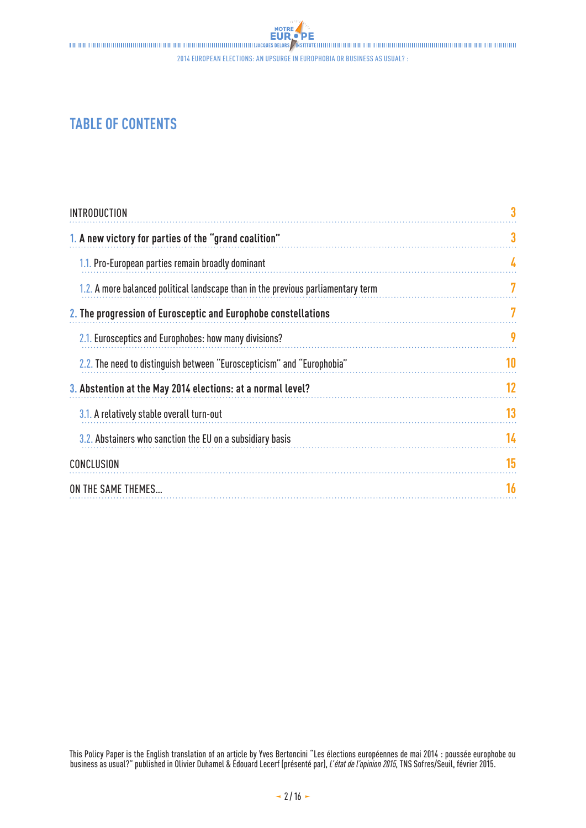2014 European elections: an upsurge in Europhobia or business as usual? :

# **TABLE OF CONTENTS**

| <b>INTRODUCTION</b>                                                              | 3  |
|----------------------------------------------------------------------------------|----|
| 1. A new victory for parties of the "grand coalition"                            | 3  |
| 1.1. Pro-European parties remain broadly dominant                                | 4  |
| 1.2. A more balanced political landscape than in the previous parliamentary term | 7  |
| 2. The progression of Eurosceptic and Europhobe constellations                   | 7  |
| 2.1. Eurosceptics and Europhobes: how many divisions?                            | 9  |
| 2.2. The need to distinguish between "Euroscepticism" and "Europhobia"           | 10 |
| 3. Abstention at the May 2014 elections: at a normal level?                      | 12 |
| 3.1. A relatively stable overall turn-out                                        | 13 |
| 3.2. Abstainers who sanction the EU on a subsidiary basis                        | 14 |
| <b>CONCLUSION</b>                                                                | 15 |
| ON THE SAME THEMES                                                               | 16 |

This Policy Paper is the English translation of an article by Yves Bertoncini "Les élections européennes de mai 2014 : poussée europhobe ou business as usual?" published in Olivier Duhamel & Édouard Lecerf (présenté par), *L'état de l'opinion 2015*, TNS Sofres/Seuil, février 2015.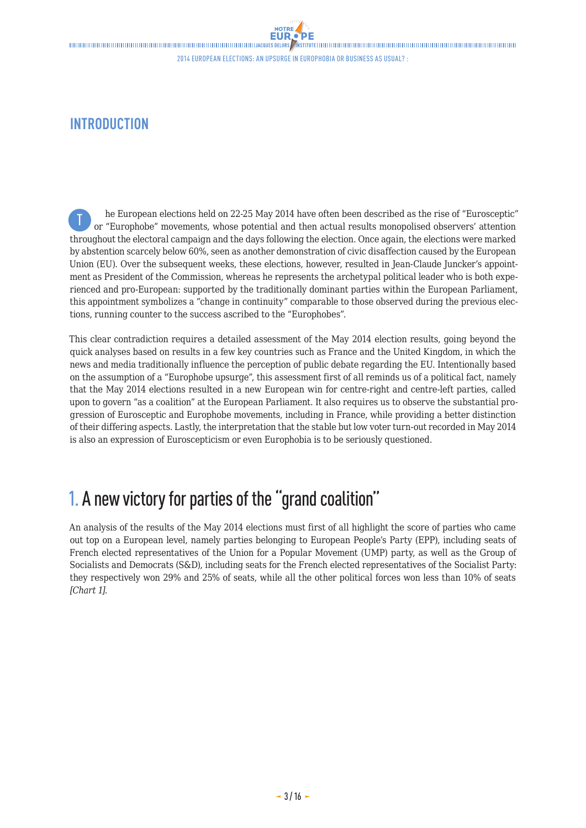# <span id="page-2-0"></span>**INTRODUCTION**

he European elections held on 22-25 May 2014 have often been described as the rise of "Eurosceptic" or "Europhobe" movements, whose potential and then actual results monopolised observers' attention throughout the electoral campaign and the days following the election. Once again, the elections were marked by abstention scarcely below 60%, seen as another demonstration of civic disaffection caused by the European Union (EU). Over the subsequent weeks, these elections, however, resulted in Jean-Claude Juncker's appointment as President of the Commission, whereas he represents the archetypal political leader who is both experienced and pro-European: supported by the traditionally dominant parties within the European Parliament, this appointment symbolizes a "change in continuity" comparable to those observed during the previous elections, running counter to the success ascribed to the "Europhobes". T

This clear contradiction requires a detailed assessment of the May 2014 election results, going beyond the quick analyses based on results in a few key countries such as France and the United Kingdom, in which the news and media traditionally influence the perception of public debate regarding the EU. Intentionally based on the assumption of a "Europhobe upsurge", this assessment first of all reminds us of a political fact, namely that the May 2014 elections resulted in a new European win for centre-right and centre-left parties, called upon to govern "as a coalition" at the European Parliament. It also requires us to observe the substantial progression of Eurosceptic and Europhobe movements, including in France, while providing a better distinction of their differing aspects. Lastly, the interpretation that the stable but low voter turn-out recorded in May 2014 is also an expression of Euroscepticism or even Europhobia is to be seriously questioned.

# 1. A new victory for parties of the "grand coalition"

An analysis of the results of the May 2014 elections must first of all highlight the score of parties who came out top on a European level, namely parties belonging to European People's Party (EPP), including seats of French elected representatives of the Union for a Popular Movement (UMP) party, as well as the Group of Socialists and Democrats (S&D), including seats for the French elected representatives of the Socialist Party: they respectively won 29% and 25% of seats, while all the other political forces won less than 10% of seats *[Chart 1]*.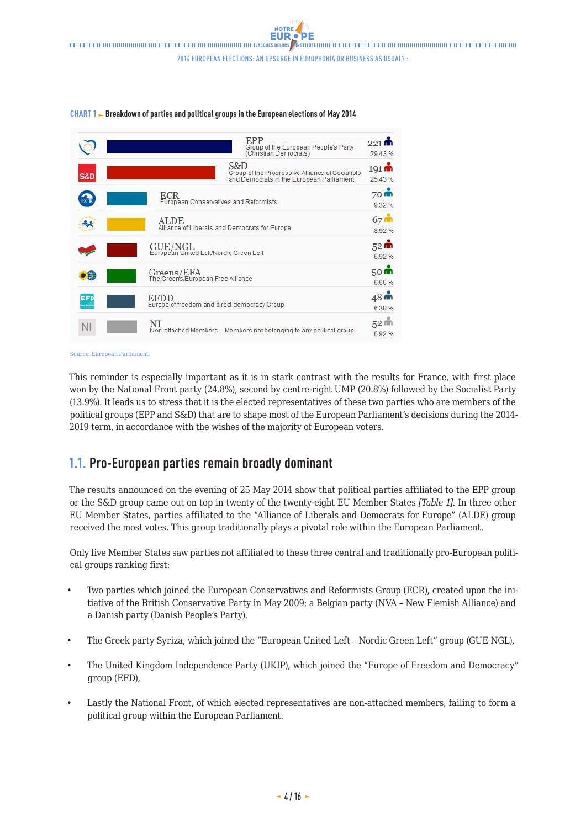

#### <span id="page-3-0"></span>CHART 1 Breakdown of parties and political groups in the European elections of May 2014

Source: European Parliament.

This reminder is especially important as it is in stark contrast with the results for France, with first place won by the National Front party (24.8%), second by centre-right UMP (20.8%) followed by the Socialist Party (13.9%). It leads us to stress that it is the elected representatives of these two parties who are members of the political groups (EPP and S&D) that are to shape most of the European Parliament's decisions during the 2014- 2019 term, in accordance with the wishes of the majority of European voters.

### **1.1. Pro-European parties remain broadly dominant**

The results announced on the evening of 25 May 2014 show that political parties affiliated to the EPP group or the S&D group came out on top in twenty of the twenty-eight EU Member States *[Table 1]*. In three other EU Member States, parties affiliated to the "Alliance of Liberals and Democrats for Europe" (ALDE) group received the most votes. This group traditionally plays a pivotal role within the European Parliament.

Only five Member States saw parties not affiliated to these three central and traditionally pro-European political groups ranking first:

- Two parties which joined the European Conservatives and Reformists Group (ECR), created upon the initiative of the British Conservative Party in May 2009: a Belgian party (NVA – New Flemish Alliance) and a Danish party (Danish People's Party),
- The Greek party Syriza, which joined the "European United Left Nordic Green Left" group (GUE-NGL),
- The United Kingdom Independence Party (UKIP), which joined the "Europe of Freedom and Democracy" group (EFD),
- Lastly the National Front, of which elected representatives are non-attached members, failing to form a political group within the European Parliament.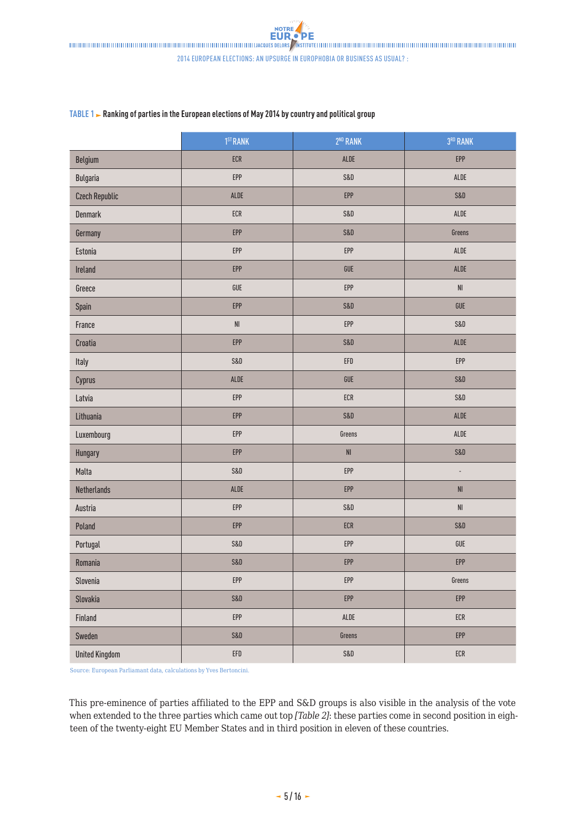|                       | 1 <sup>ST</sup> RANK        | 2 <sup>ND</sup> RANK   | 3RD RANK               |
|-----------------------|-----------------------------|------------------------|------------------------|
| Belgium               | ECR                         | ALDE                   | EPP                    |
| <b>Bulgaria</b>       | EPP                         | S&D                    | ALDE                   |
| <b>Czech Republic</b> | ALDE                        | EPP                    | S&D                    |
| <b>Denmark</b>        | ECR                         | S&D                    | ALDE                   |
| Germany               | EPP                         | S&D                    | Greens                 |
| Estonia               | EPP                         | EPP                    | ALDE                   |
| Ireland               | EPP                         | ${\sf GUE}$            | ALDE                   |
| Greece                | GUE                         | EPP                    | $\mathsf{N}\mathsf{I}$ |
| Spain                 | EPP                         | S&D                    | GUE                    |
| France                | $\mathsf{NI}$               | EPP                    | S&D                    |
| Croatia               | EPP                         | S&D                    | ALDE                   |
| Italy                 | <b>S&amp;D</b>              | EFD                    | EPP                    |
| Cyprus                | ALDE                        | ${\sf GUE}$            | S&D                    |
| Latvia                | EPP                         | ECR                    | S&D                    |
| Lithuania             | EPP                         | S&D                    | ALDE                   |
| Luxembourg            | EPP                         | Greens                 | ALDE                   |
| Hungary               | EPP                         | $\mathsf{N}\mathsf{I}$ | S&D                    |
| Malta                 | S&D                         | EPP                    | $\blacksquare$         |
| <b>Netherlands</b>    | ALDE                        | EPP                    | $\mathsf{NI}$          |
| Austria               | EPP                         | S&D                    | $\mathsf{N}\mathsf{I}$ |
| Poland                | EPP                         | ECR                    | S&D                    |
| Portugal              | <b>S&amp;D</b>              | EPP                    | GUE                    |
| Romania               | S&D                         | EPP                    | EPP                    |
| Slovenia              | EPP                         | EPP                    | Greens                 |
| Slovakia              | S&D                         | EPP                    | EPP                    |
| Finland               | EPP                         | $\sf ALDE$             | ECR                    |
| Sweden                | S&D                         | Greens                 | EPP                    |
| <b>United Kingdom</b> | $\ensuremath{\mathsf{EFD}}$ | S&D                    | ECR                    |

Source: European Parliamant data, calculations by Yves Bertoncini.

This pre-eminence of parties affiliated to the EPP and S&D groups is also visible in the analysis of the vote when extended to the three parties which came out top *[Table 2]*: these parties come in second position in eighteen of the twenty-eight EU Member States and in third position in eleven of these countries.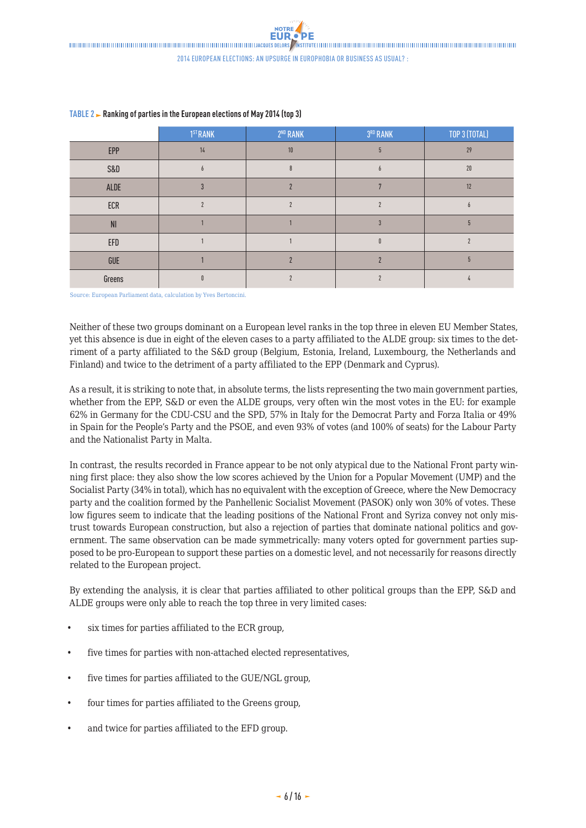|                | 1 <sup>ST</sup> RANK | 2 <sup>ND</sup> RANK | 3RD RANK | TOP 3 (TOTAL) |
|----------------|----------------------|----------------------|----------|---------------|
| EPP            | 14                   | $10$                 |          | 29            |
| S&D            |                      |                      |          | $20\,$        |
| ALDE           |                      |                      |          | 12            |
| ECR            |                      |                      |          | h             |
| N <sub>l</sub> |                      |                      |          |               |
| ${\sf EFD}$    |                      |                      |          |               |
| GUE            |                      |                      |          |               |
| Greens         |                      |                      |          |               |

#### **TABLE 2 Ranking of parties in the European elections of May 2014 (top 3)**

Source: European Parliament data, calculation by Yves Bertoncini.

Neither of these two groups dominant on a European level ranks in the top three in eleven EU Member States, yet this absence is due in eight of the eleven cases to a party affiliated to the ALDE group: six times to the detriment of a party affiliated to the S&D group (Belgium, Estonia, Ireland, Luxembourg, the Netherlands and Finland) and twice to the detriment of a party affiliated to the EPP (Denmark and Cyprus).

As a result, it is striking to note that, in absolute terms, the lists representing the two main government parties, whether from the EPP, S&D or even the ALDE groups, very often win the most votes in the EU: for example 62% in Germany for the CDU-CSU and the SPD, 57% in Italy for the Democrat Party and Forza Italia or 49% in Spain for the People's Party and the PSOE, and even 93% of votes (and 100% of seats) for the Labour Party and the Nationalist Party in Malta.

In contrast, the results recorded in France appear to be not only atypical due to the National Front party winning first place: they also show the low scores achieved by the Union for a Popular Movement (UMP) and the Socialist Party (34% in total), which has no equivalent with the exception of Greece, where the New Democracy party and the coalition formed by the Panhellenic Socialist Movement (PASOK) only won 30% of votes. These low figures seem to indicate that the leading positions of the National Front and Syriza convey not only mistrust towards European construction, but also a rejection of parties that dominate national politics and government. The same observation can be made symmetrically: many voters opted for government parties supposed to be pro-European to support these parties on a domestic level, and not necessarily for reasons directly related to the European project.

By extending the analysis, it is clear that parties affiliated to other political groups than the EPP, S&D and ALDE groups were only able to reach the top three in very limited cases:

- six times for parties affiliated to the ECR group,
- five times for parties with non-attached elected representatives,
- five times for parties affiliated to the GUE/NGL group,
- four times for parties affiliated to the Greens group,
- and twice for parties affiliated to the EFD group.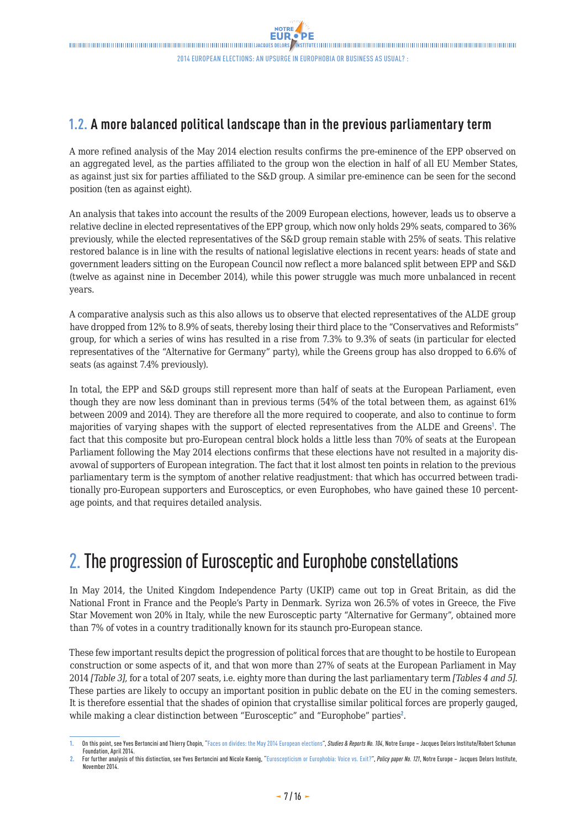### <span id="page-6-0"></span>**1.2. A more balanced political landscape than in the previous parliamentary term**

A more refined analysis of the May 2014 election results confirms the pre-eminence of the EPP observed on an aggregated level, as the parties affiliated to the group won the election in half of all EU Member States, as against just six for parties affiliated to the S&D group. A similar pre-eminence can be seen for the second position (ten as against eight).

An analysis that takes into account the results of the 2009 European elections, however, leads us to observe a relative decline in elected representatives of the EPP group, which now only holds 29% seats, compared to 36% previously, while the elected representatives of the S&D group remain stable with 25% of seats. This relative restored balance is in line with the results of national legislative elections in recent years: heads of state and government leaders sitting on the European Council now reflect a more balanced split between EPP and S&D (twelve as against nine in December 2014), while this power struggle was much more unbalanced in recent years.

A comparative analysis such as this also allows us to observe that elected representatives of the ALDE group have dropped from 12% to 8.9% of seats, thereby losing their third place to the "Conservatives and Reformists" group, for which a series of wins has resulted in a rise from 7.3% to 9.3% of seats (in particular for elected representatives of the "Alternative for Germany" party), while the Greens group has also dropped to 6.6% of seats (as against 7.4% previously).

In total, the EPP and S&D groups still represent more than half of seats at the European Parliament, even though they are now less dominant than in previous terms (54% of the total between them, as against 61% between 2009 and 2014). They are therefore all the more required to cooperate, and also to continue to form majorities of varying shapes with the support of elected representatives from the ALDE and Greens<sup>1</sup>. The fact that this composite but pro-European central block holds a little less than 70% of seats at the European Parliament following the May 2014 elections confirms that these elections have not resulted in a majority disavowal of supporters of European integration. The fact that it lost almost ten points in relation to the previous parliamentary term is the symptom of another relative readjustment: that which has occurred between traditionally pro-European supporters and Eurosceptics, or even Europhobes, who have gained these 10 percentage points, and that requires detailed analysis.

# 2.The progression of Eurosceptic and Europhobe constellations

In May 2014, the United Kingdom Independence Party (UKIP) came out top in Great Britain, as did the National Front in France and the People's Party in Denmark. Syriza won 26.5% of votes in Greece, the Five Star Movement won 20% in Italy, while the new Eurosceptic party "Alternative for Germany", obtained more than 7% of votes in a country traditionally known for its staunch pro-European stance.

These few important results depict the progression of political forces that are thought to be hostile to European construction or some aspects of it, and that won more than 27% of seats at the European Parliament in May 2014 *[Table 3]*, for a total of 207 seats, i.e. eighty more than during the last parliamentary term *[Tables 4 and 5]*. These parties are likely to occupy an important position in public debate on the EU in the coming semesters. It is therefore essential that the shades of opinion that crystallise similar political forces are properly gauged, while making a clear distinction between "Eurosceptic" and "Europhobe" parties<sup>2</sup>.

On this point, see Yves Bertoncini and Thierry Chopin, "[Faces on divides: the May 2014 European elections"](http://www.delorsinstitute.eu/011-18519-Des-visages-sur-des-clivages-les-elections-europeennes-de-mai-2014.html), *Studies & Reports No. 104*, Notre Europe – Jacques Delors Institute/Robert Schuman Foundation, April 2014.

**<sup>2.</sup>** For further analysis of this distinction, see Yves Bertoncini and Nicole Koenig, "[Euroscepticism or Europhobia: Voice vs. Exit?"](http://www.delorsinstitute.eu/011-20658-Euroscepticism-or-Europhobia-voice-vs-exit.html), *Policy paper No. 121*, Notre Europe – Jacques Delors Institute, November 2014.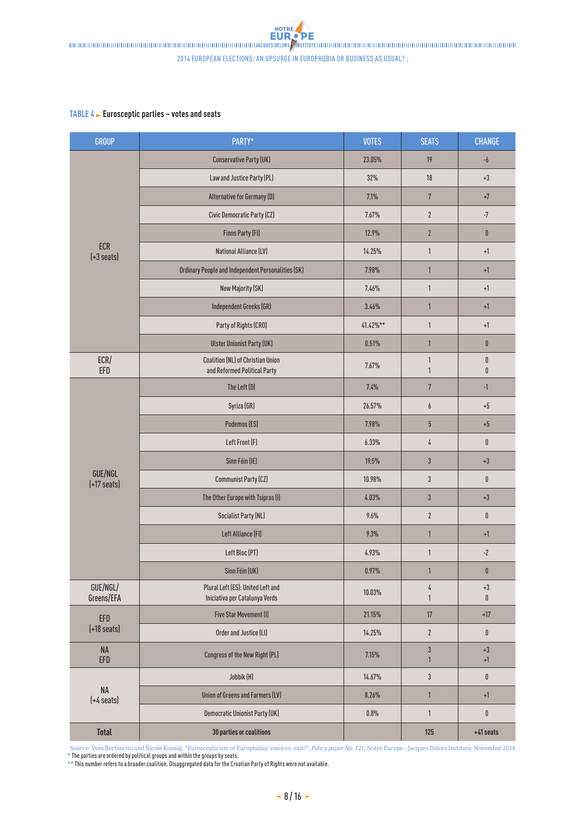2014 European elections: an upsurge in Europhobia or business as usual? :

#### **TABLE 4 Eurosceptic parties – votes and seats**

| <b>GROUP</b>                       | PARTY*                                                              | <b>VOTES</b> | <b>SEATS</b>                 | <b>CHANGE</b>                  |
|------------------------------------|---------------------------------------------------------------------|--------------|------------------------------|--------------------------------|
|                                    | <b>Conservative Party (UK)</b>                                      | 23.05%       | 19                           | $-6$                           |
|                                    | Law and Justice Party (PL)                                          | 32%          | 18                           | $+3$                           |
|                                    | Alternative for Germany (D)                                         | 7.1%         | $\sqrt{7}$                   | $^{\mathrm {+7}}$              |
|                                    | Civic Democratic Party (CZ)                                         | 7.67%        | $\mathbf{2}$                 | $\textnormal{-}7$              |
|                                    | Finns Party (FI)                                                    | 12.9%        | $\mathbf{2}$                 | $\pmb{0}$                      |
| <b>ECR</b><br>$(+3 \text{ seats})$ | National Alliance (LV)                                              | 14.25%       | $\mathbf{1}$                 | $+1$                           |
|                                    | Ordinary People and Independent Personalities (SK)                  | 7.98%        | $\mathbf{1}$                 | $+1$                           |
|                                    | New Majority (SK)                                                   | 7.46%        | $\mathbf{1}$                 | $+1$                           |
|                                    | Independent Greeks (GR)                                             | 3.46%        | $\mathbf{1}$                 | $+1$                           |
|                                    | Party of Rights (CRO)                                               | 41.42%**     | $\mathbf{1}$                 | $\textcolor{red}{\textbf{+}}1$ |
|                                    | <b>Ulster Unionist Party (UK)</b>                                   | 0.51%        | $\mathbf{1}$                 | $\pmb{0}$                      |
| ECR/<br>EFD                        | Coalition (NL) of Christian Union<br>and Reformed Political Party   | 7.67%        | $\mathbf{1}$<br>$\mathbf{1}$ | $\pmb{0}$<br>0                 |
|                                    | The Left (D)                                                        | 7.4%         | $\overline{7}$               | $-1$                           |
|                                    | Syriza (GR)                                                         | 26.57%       | $\boldsymbol{6}$             | $\pm 5$                        |
|                                    | Podemos (ES)                                                        | 7.98%        | $5\phantom{.0}$              | $\pm 5$                        |
|                                    | Left Front (F)                                                      | 6.33%        | 4                            | $\pmb{0}$                      |
|                                    | Sinn Féin (IE)                                                      | 19.5%        | $3\,$                        | $+3$                           |
| GUE/NGL<br>$(+17 \text{ seats})$   | <b>Communist Party (CZ)</b>                                         | 10.98%       | $\sqrt{3}$                   | $\pmb{0}$                      |
|                                    | The Other Europe with Tsipras (I)                                   | 4.03%        | $3\,$                        | $+3$                           |
|                                    | <b>Socialist Party (NL)</b>                                         | 9.6%         | $\boldsymbol{2}$             | $\pmb{0}$                      |
|                                    | Left Alliance (FI)                                                  | 9.3%         | $\mathbf{1}$                 | $+1$                           |
|                                    | Left Bloc (PT)                                                      | 4.93%        | 1                            | $\textnormal{-}2$              |
|                                    | Sinn Féin (UK)                                                      | $0.97\%$     | $\mathbf{1}$                 | $\pmb{0}$                      |
| GUE/NGL/<br>Greens/EFA             | Plural Left (ES): United Left and<br>Iniciativa per Catalunya Verds | 10.03%       | 4<br>$\mathbf{1}$            | $+3$<br>0                      |
| EFD                                | Five Star Movement (I)                                              | 21.15%       | 17                           | $+17$                          |
| $(+18 \text{ seats})$              | Order and Justice (LI)                                              | 14.25%       | $\mathbf{2}$                 | 0                              |
| <b>NA</b><br>EFD                   | Congress of the New Right (PL)                                      | 7.15%        | $\sqrt{3}$<br>$\mathbf{1}$   | $+3$<br>$+1$                   |
|                                    | Jobbik (H)                                                          | 14.67%       | $\sqrt{3}$                   | $\pmb{0}$                      |
| <b>NA</b><br>$(+4$ seats)          | Union of Greens and Farmers (LV)                                    | 8.26%        | $\mathbf{1}$                 | $+1$                           |
|                                    | Democratic Unionist Party (UK)                                      | $0.8\%$      | $\mathbf{1}$                 | 0                              |
| <b>Total</b>                       | 30 parties or coalitions                                            |              | 125                          | $+41$ seats                    |

Source: Yves Bertoncini and Nicole Koenig, "Euroscepticism or Europhobia: voice vs. exit?", *Policy paper No. 121,* Notre Europe - Jacques Delors Institute, November 2014.<br>\* **The parties are ordered by political groups and** 

**\*\*** This number refers to a broader coalition. Disaggregated data for the Croatian Party of Rights were not available.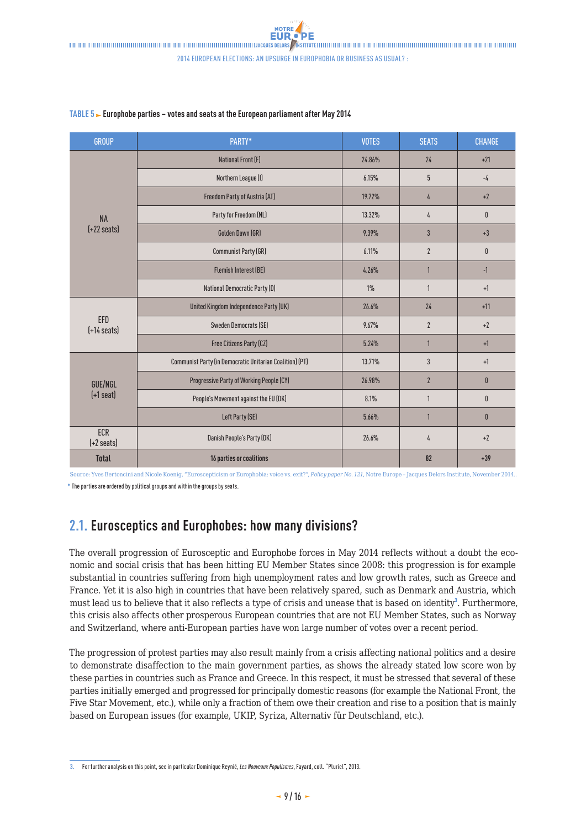| <b>GROUP</b>                       | PARTY*                                                   | <b>VOTES</b> | <b>SEATS</b>   | <b>CHANGE</b> |
|------------------------------------|----------------------------------------------------------|--------------|----------------|---------------|
|                                    | <b>National Front (F)</b>                                | 24.86%       | 24             | $+21$         |
|                                    | Northern League (I)                                      | 6.15%        | 5              | $-4$          |
|                                    | Freedom Party of Austria (AT)                            | 19.72%       | 4              | $+2$          |
| <b>NA</b>                          | Party for Freedom (NL)                                   | 13.32%       | 4              | $\mathbf{0}$  |
| $(+22 \text{ seats})$              | Golden Dawn (GR)                                         | 9.39%        | $\overline{3}$ | $+3$          |
|                                    | Communist Party (GR)                                     | 6.11%        | $\overline{2}$ | $\mathbf{0}$  |
|                                    | <b>Flemish Interest (BE)</b>                             | 4.26%        | 1              | $-1$          |
|                                    | <b>National Democratic Party (D)</b>                     | $1\%$        | $\mathbf{1}$   | $+1$          |
|                                    | United Kingdom Independence Party (UK)                   | 26.6%        | 24             | $+11$         |
| EFD<br>$[-14 \text{ seats}]$       | <b>Sweden Democrats (SE)</b>                             | 9.67%        | $\overline{2}$ | $+2$          |
|                                    | Free Citizens Party (CZ)                                 | 5.24%        | 1              | $+1$          |
|                                    | Communist Party (in Democratic Unitarian Coalition) (PT) | 13.71%       | 3              | $+1$          |
| GUE/NGL<br>$(+1$ seat)             | Progressive Party of Working People (CY)                 | 26.98%       | $\overline{2}$ | $\mathbf{0}$  |
|                                    | People's Movement against the EU (DK)                    | 8.1%         | $\mathbf{1}$   | 0             |
|                                    | Left Party (SE)                                          | 5.66%        | 1              | $\mathbf 0$   |
| <b>ECR</b><br>$[-2 \text{ seats}]$ | Danish People's Party (DK)                               | 26.6%        | 4              | $+2$          |
| <b>Total</b>                       | 16 parties or coalitions                                 |              | 82             | $+39$         |

#### <span id="page-8-0"></span>**TABLE 5 Europhobe parties – votes and seats at the European parliament after May 2014**

Source: Yves Bertoncini and Nicole Koenig, "Euroscepticism or Europhobia: voice vs. exit?", *Policy paper No. 121*, Notre Europe – Jacques Delors Institute, November 2014.. **\*** The parties are ordered by political groups and within the groups by seats.

### **2.1. Eurosceptics and Europhobes: how many divisions?**

The overall progression of Eurosceptic and Europhobe forces in May 2014 reflects without a doubt the economic and social crisis that has been hitting EU Member States since 2008: this progression is for example substantial in countries suffering from high unemployment rates and low growth rates, such as Greece and France. Yet it is also high in countries that have been relatively spared, such as Denmark and Austria, which must lead us to believe that it also reflects a type of crisis and unease that is based on identity<sup>3</sup>. Furthermore, this crisis also affects other prosperous European countries that are not EU Member States, such as Norway and Switzerland, where anti-European parties have won large number of votes over a recent period.

The progression of protest parties may also result mainly from a crisis affecting national politics and a desire to demonstrate disaffection to the main government parties, as shows the already stated low score won by these parties in countries such as France and Greece. In this respect, it must be stressed that several of these parties initially emerged and progressed for principally domestic reasons (for example the National Front, the Five Star Movement, etc.), while only a fraction of them owe their creation and rise to a position that is mainly based on European issues (for example, UKIP, Syriza, Alternativ für Deutschland, etc.).

**<sup>3.</sup>** For further analysis on this point, see in particular Dominique Reynié, *Les Nouveaux Populismes*, Fayard, coll. "Pluriel", 2013.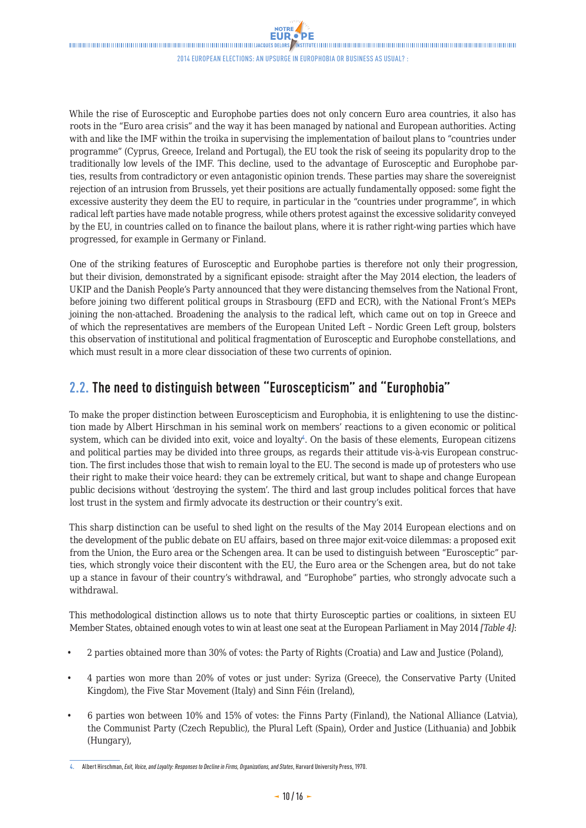<span id="page-9-0"></span>While the rise of Eurosceptic and Europhobe parties does not only concern Euro area countries, it also has roots in the "Euro area crisis" and the way it has been managed by national and European authorities. Acting with and like the IMF within the troika in supervising the implementation of bailout plans to "countries under programme" (Cyprus, Greece, Ireland and Portugal), the EU took the risk of seeing its popularity drop to the traditionally low levels of the IMF. This decline, used to the advantage of Eurosceptic and Europhobe parties, results from contradictory or even antagonistic opinion trends. These parties may share the sovereignist rejection of an intrusion from Brussels, yet their positions are actually fundamentally opposed: some fight the excessive austerity they deem the EU to require, in particular in the "countries under programme", in which radical left parties have made notable progress, while others protest against the excessive solidarity conveyed by the EU, in countries called on to finance the bailout plans, where it is rather right-wing parties which have progressed, for example in Germany or Finland.

One of the striking features of Eurosceptic and Europhobe parties is therefore not only their progression, but their division, demonstrated by a significant episode: straight after the May 2014 election, the leaders of UKIP and the Danish People's Party announced that they were distancing themselves from the National Front, before joining two different political groups in Strasbourg (EFD and ECR), with the National Front's MEPs joining the non-attached. Broadening the analysis to the radical left, which came out on top in Greece and of which the representatives are members of the European United Left – Nordic Green Left group, bolsters this observation of institutional and political fragmentation of Eurosceptic and Europhobe constellations, and which must result in a more clear dissociation of these two currents of opinion.

## **2.2. The need to distinguish between "Euroscepticism" and "Europhobia"**

To make the proper distinction between Euroscepticism and Europhobia, it is enlightening to use the distinction made by Albert Hirschman in his seminal work on members' reactions to a given economic or political system, which can be divided into exit, voice and loyalty<sup>4</sup>. On the basis of these elements, European citizens and political parties may be divided into three groups, as regards their attitude vis-à-vis European construction. The first includes those that wish to remain loyal to the EU. The second is made up of protesters who use their right to make their voice heard: they can be extremely critical, but want to shape and change European public decisions without 'destroying the system'. The third and last group includes political forces that have lost trust in the system and firmly advocate its destruction or their country's exit.

This sharp distinction can be useful to shed light on the results of the May 2014 European elections and on the development of the public debate on EU affairs, based on three major exit-voice dilemmas: a proposed exit from the Union, the Euro area or the Schengen area. It can be used to distinguish between "Eurosceptic" parties, which strongly voice their discontent with the EU, the Euro area or the Schengen area, but do not take up a stance in favour of their country's withdrawal, and "Europhobe" parties, who strongly advocate such a withdrawal.

This methodological distinction allows us to note that thirty Eurosceptic parties or coalitions, in sixteen EU Member States, obtained enough votes to win at least one seat at the European Parliament in May 2014 *[Table 4]*:

- 2 parties obtained more than 30% of votes: the Party of Rights (Croatia) and Law and Justice (Poland),
- 4 parties won more than 20% of votes or just under: Syriza (Greece), the Conservative Party (United Kingdom), the Five Star Movement (Italy) and Sinn Féin (Ireland),
- 6 parties won between 10% and 15% of votes: the Finns Party (Finland), the National Alliance (Latvia), the Communist Party (Czech Republic), the Plural Left (Spain), Order and Justice (Lithuania) and Jobbik (Hungary),

**<sup>4.</sup>** Albert Hirschman, *Exit, Voice, and Loyalty: Responses to Decline in Firms, Organizations, and States*, Harvard University Press, 1970.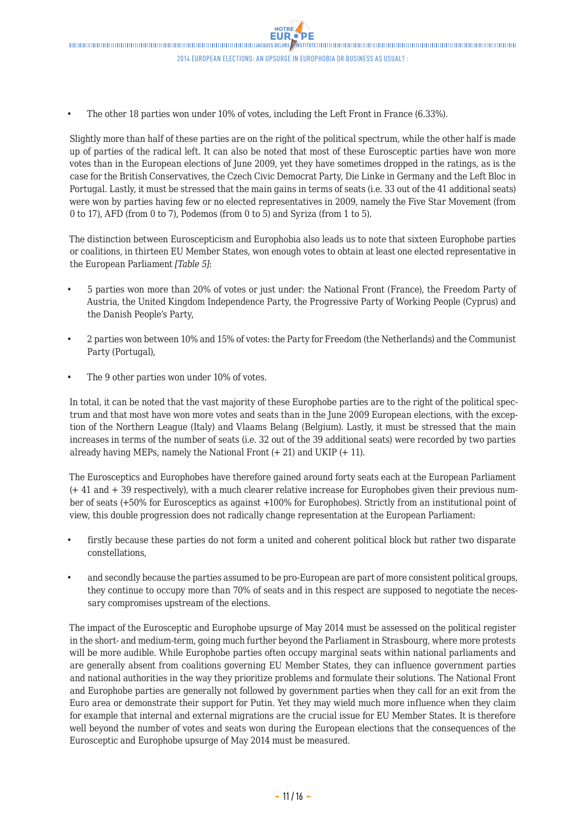• The other 18 parties won under 10% of votes, including the Left Front in France (6.33%).

Slightly more than half of these parties are on the right of the political spectrum, while the other half is made up of parties of the radical left. It can also be noted that most of these Eurosceptic parties have won more votes than in the European elections of June 2009, yet they have sometimes dropped in the ratings, as is the case for the British Conservatives, the Czech Civic Democrat Party, Die Linke in Germany and the Left Bloc in Portugal. Lastly, it must be stressed that the main gains in terms of seats (i.e. 33 out of the 41 additional seats) were won by parties having few or no elected representatives in 2009, namely the Five Star Movement (from 0 to 17), AFD (from 0 to 7), Podemos (from 0 to 5) and Syriza (from 1 to 5).

The distinction between Euroscepticism and Europhobia also leads us to note that sixteen Europhobe parties or coalitions, in thirteen EU Member States, won enough votes to obtain at least one elected representative in the European Parliament *[Table 5]*:

- 5 parties won more than 20% of votes or just under: the National Front (France), the Freedom Party of Austria, the United Kingdom Independence Party, the Progressive Party of Working People (Cyprus) and the Danish People's Party,
- 2 parties won between 10% and 15% of votes: the Party for Freedom (the Netherlands) and the Communist Party (Portugal),
- The 9 other parties won under 10% of votes.

In total, it can be noted that the vast majority of these Europhobe parties are to the right of the political spectrum and that most have won more votes and seats than in the June 2009 European elections, with the exception of the Northern League (Italy) and Vlaams Belang (Belgium). Lastly, it must be stressed that the main increases in terms of the number of seats (i.e. 32 out of the 39 additional seats) were recorded by two parties already having MEPs, namely the National Front (+ 21) and UKIP (+ 11).

The Eurosceptics and Europhobes have therefore gained around forty seats each at the European Parliament (+ 41 and + 39 respectively), with a much clearer relative increase for Europhobes given their previous number of seats (+50% for Eurosceptics as against +100% for Europhobes). Strictly from an institutional point of view, this double progression does not radically change representation at the European Parliament:

- firstly because these parties do not form a united and coherent political block but rather two disparate constellations,
- and secondly because the parties assumed to be pro-European are part of more consistent political groups, they continue to occupy more than 70% of seats and in this respect are supposed to negotiate the necessary compromises upstream of the elections.

The impact of the Eurosceptic and Europhobe upsurge of May 2014 must be assessed on the political register in the short- and medium-term, going much further beyond the Parliament in Strasbourg, where more protests will be more audible. While Europhobe parties often occupy marginal seats within national parliaments and are generally absent from coalitions governing EU Member States, they can influence government parties and national authorities in the way they prioritize problems and formulate their solutions. The National Front and Europhobe parties are generally not followed by government parties when they call for an exit from the Euro area or demonstrate their support for Putin. Yet they may wield much more influence when they claim for example that internal and external migrations are the crucial issue for EU Member States. It is therefore well beyond the number of votes and seats won during the European elections that the consequences of the Eurosceptic and Europhobe upsurge of May 2014 must be measured.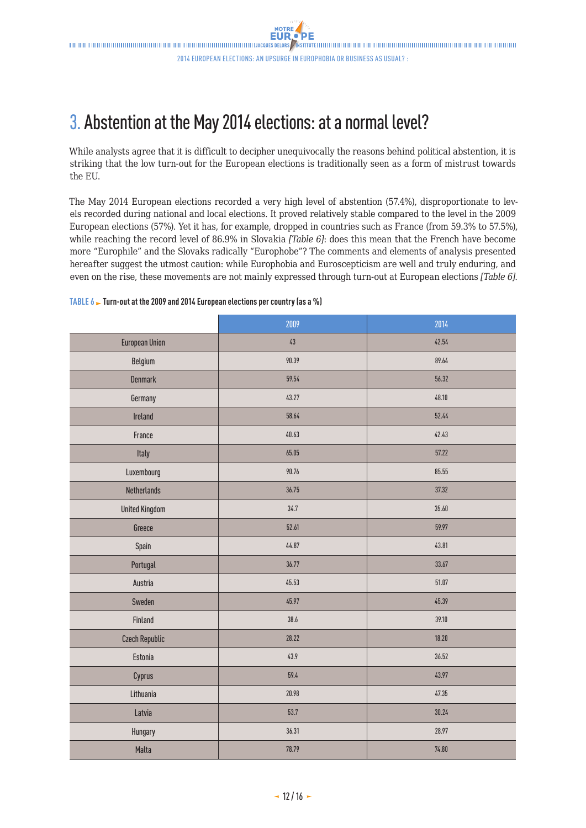# <span id="page-11-0"></span>3. Abstention at the May 2014 elections: at a normal level?

While analysts agree that it is difficult to decipher unequivocally the reasons behind political abstention, it is striking that the low turn-out for the European elections is traditionally seen as a form of mistrust towards the EU.

The May 2014 European elections recorded a very high level of abstention (57.4%), disproportionate to levels recorded during national and local elections. It proved relatively stable compared to the level in the 2009 European elections (57%). Yet it has, for example, dropped in countries such as France (from 59.3% to 57.5%), while reaching the record level of 86.9% in Slovakia *[Table 6]*: does this mean that the French have become more "Europhile" and the Slovaks radically "Europhobe"? The comments and elements of analysis presented hereafter suggest the utmost caution: while Europhobia and Euroscepticism are well and truly enduring, and even on the rise, these movements are not mainly expressed through turn-out at European elections *[Table 6]*.

|                       | 2009   | 2014  |
|-----------------------|--------|-------|
| <b>European Union</b> | $43\,$ | 42.54 |
| Belgium               | 90.39  | 89.64 |
| <b>Denmark</b>        | 59.54  | 56.32 |
| Germany               | 43.27  | 48.10 |
| Ireland               | 58.64  | 52.44 |
| France                | 40.63  | 42.43 |
| Italy                 | 65.05  | 57.22 |
| Luxembourg            | 90.76  | 85.55 |
| Netherlands           | 36.75  | 37.32 |
| <b>United Kingdom</b> | 34.7   | 35.60 |
| Greece                | 52.61  | 59.97 |
| Spain                 | 44.87  | 43.81 |
| Portugal              | 36.77  | 33.67 |
| Austria               | 45.53  | 51.07 |
| Sweden                | 45.97  | 45.39 |
| Finland               | 38.6   | 39.10 |
| <b>Czech Republic</b> | 28.22  | 18.20 |
| Estonia               | 43.9   | 36.52 |
| Cyprus                | 59.4   | 43.97 |
| Lithuania             | 20.98  | 47.35 |
| Latvia                | 53.7   | 30.24 |
| Hungary               | 36.31  | 28.97 |
| Malta                 | 78.79  | 74.80 |

#### **TABLE 6 Turn-out at the 2009 and 2014 European elections per country (as a %)**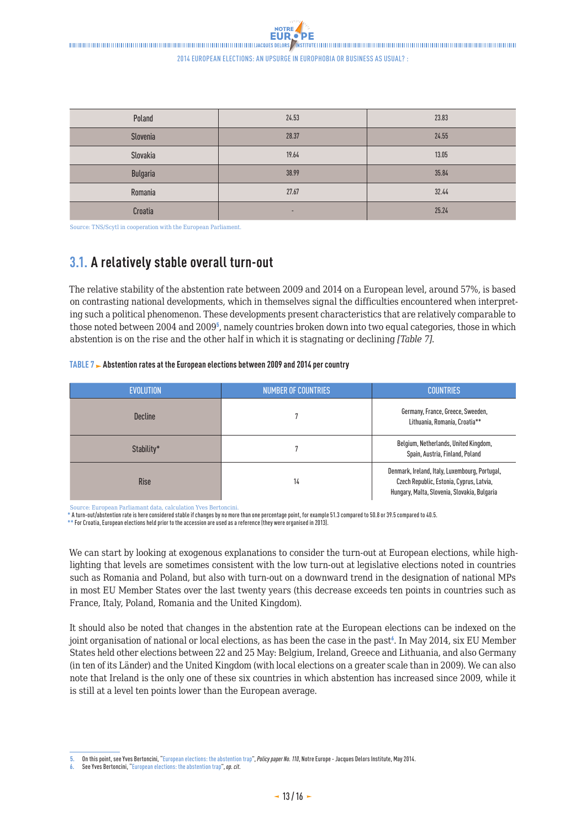<span id="page-12-0"></span>

| Poland   | 24.53 | 23.83 |
|----------|-------|-------|
| Slovenia | 28.37 | 24.55 |
| Slovakia | 19.64 | 13.05 |
| Bulgaria | 38.99 | 35.84 |
| Romania  | 27.67 | 32.44 |
| Croatia  | ۰.    | 25.24 |

Source: TNS/Scytl in cooperation with the European Parliament.

### **3.1. A relatively stable overall turn-out**

The relative stability of the abstention rate between 2009 and 2014 on a European level, around 57%, is based on contrasting national developments, which in themselves signal the difficulties encountered when interpreting such a political phenomenon. These developments present characteristics that are relatively comparable to those noted between 2004 and 2009<sup>5</sup>, namely countries broken down into two equal categories, those in which abstention is on the rise and the other half in which it is stagnating or declining *[Table 7]*.

#### **TABLE 7 Abstention rates at the European elections between 2009 and 2014 per country**

| <b>EVOLUTION</b> | <b>NUMBER OF COUNTRIES</b> | <b>COUNTRIES</b>                                                                                                                           |
|------------------|----------------------------|--------------------------------------------------------------------------------------------------------------------------------------------|
| <b>Decline</b>   |                            | Germany, France, Greece, Sweeden,<br>Lithuania, Romania, Croatia**                                                                         |
| Stability*       |                            | Belgium, Netherlands, United Kingdom,<br>Spain, Austria, Finland, Poland                                                                   |
| <b>Rise</b>      | 14                         | Denmark, Ireland, Italy, Luxembourg, Portugal,<br>Czech Republic, Estonia, Cyprus, Latvia,<br>Hungary, Malta, Slovenia, Slovakia, Bulgaria |

Source: European Parliamant data, calculation Yves Bertoncini.

**\*** A turn-out/abstention rate is here considered stable if changes by no more than one percentage point, for example 51.3 compared to 50.8 or 39.5 compared to 40.5.

**\*\*** For Croatia, European elections held prior to the accession are used as a reference (they were organised in 2013).

We can start by looking at exogenous explanations to consider the turn-out at European elections, while highlighting that levels are sometimes consistent with the low turn-out at legislative elections noted in countries such as Romania and Poland, but also with turn-out on a downward trend in the designation of national MPs in most EU Member States over the last twenty years (this decrease exceeds ten points in countries such as France, Italy, Poland, Romania and the United Kingdom).

It should also be noted that changes in the abstention rate at the European elections can be indexed on the joint organisation of national or local elections, as has been the case in the past<sup>6</sup>. In May 2014, six EU Member States held other elections between 22 and 25 May: Belgium, Ireland, Greece and Lithuania, and also Germany (in ten of its Länder) and the United Kingdom (with local elections on a greater scale than in 2009). We can also note that Ireland is the only one of these six countries in which abstention has increased since 2009, while it is still at a level ten points lower than the European average.

**<sup>5.</sup>** On this point, see Yves Bertoncini, ["European elections: the abstention trap](http://www.delorsinstitute.eu/011-18855-European-elections-the-abstention-trap.html)", *Policy paper No. 110*, Notre Europe - Jacques Delors Institute, May 2014.

**<sup>6.</sup>** See Yves Bertoncini, ["European elections: the abstention trap"](http://www.delorsinstitute.eu/011-18855-European-elections-the-abstention-trap.html), *op. cit*.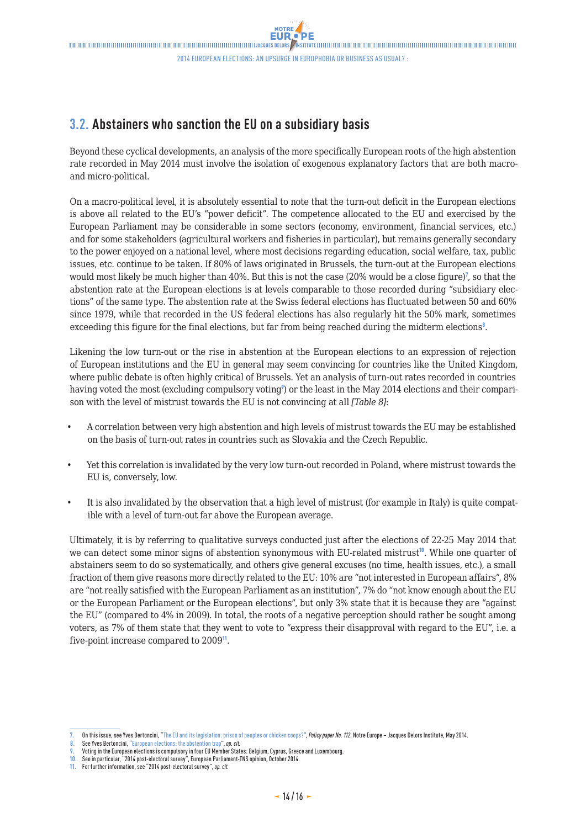### <span id="page-13-0"></span>**3.2. Abstainers who sanction the EU on a subsidiary basis**

Beyond these cyclical developments, an analysis of the more specifically European roots of the high abstention rate recorded in May 2014 must involve the isolation of exogenous explanatory factors that are both macroand micro-political.

On a macro-political level, it is absolutely essential to note that the turn-out deficit in the European elections is above all related to the EU's "power deficit". The competence allocated to the EU and exercised by the European Parliament may be considerable in some sectors (economy, environment, financial services, etc.) and for some stakeholders (agricultural workers and fisheries in particular), but remains generally secondary to the power enjoyed on a national level, where most decisions regarding education, social welfare, tax, public issues, etc. continue to be taken. If 80% of laws originated in Brussels, the turn-out at the European elections would most likely be much higher than 40%. But this is not the case (20% would be a close figure)<sup>7</sup>, so that the abstention rate at the European elections is at levels comparable to those recorded during "subsidiary elections" of the same type. The abstention rate at the Swiss federal elections has fluctuated between 50 and 60% since 1979, while that recorded in the US federal elections has also regularly hit the 50% mark, sometimes exceeding this figure for the final elections, but far from being reached during the midterm elections<sup>8</sup>.

Likening the low turn-out or the rise in abstention at the European elections to an expression of rejection of European institutions and the EU in general may seem convincing for countries like the United Kingdom, where public debate is often highly critical of Brussels. Yet an analysis of turn-out rates recorded in countries having voted the most (excluding compulsory voting<sup>®</sup>) or the least in the May 2014 elections and their comparison with the level of mistrust towards the EU is not convincing at all *[Table 8]*:

- A correlation between very high abstention and high levels of mistrust towards the EU may be established on the basis of turn-out rates in countries such as Slovakia and the Czech Republic.
- Yet this correlation is invalidated by the very low turn-out recorded in Poland, where mistrust towards the EU is, conversely, low.
- It is also invalidated by the observation that a high level of mistrust (for example in Italy) is quite compatible with a level of turn-out far above the European average.

Ultimately, it is by referring to qualitative surveys conducted just after the elections of 22-25 May 2014 that we can detect some minor signs of abstention synonymous with EU-related mistrust<sup>10</sup>. While one quarter of abstainers seem to do so systematically, and others give general excuses (no time, health issues, etc.), a small fraction of them give reasons more directly related to the EU: 10% are "not interested in European affairs", 8% are "not really satisfied with the European Parliament as an institution", 7% do "not know enough about the EU or the European Parliament or the European elections", but only 3% state that it is because they are "against the EU" (compared to 4% in 2009). In total, the roots of a negative perception should rather be sought among voters, as 7% of them state that they went to vote to "express their disapproval with regard to the EU", i.e. a five-point increase compared to 2009<sup>11</sup>.

**10.** See in particular, "2014 post-electoral survey", European Parliament-TNS opinion, October 2014.

**<sup>7.</sup>** On this issue, see Yves Bertoncini, "[The EU and its legislation: prison of peoples or chicken coops?"](http://www.delorsinstitute.eu/011-19019-The-EU-and-its-legislation-a-prison-of-peoples-or-chicken-coops.html), *Policy paper No. 112*, Notre Europe – Jacques Delors Institute, May 2014.

**<sup>8.</sup>** See Yves Bertoncini, ["European elections: the abstention trap"](http://www.delorsinstitute.eu/011-18855-European-elections-the-abstention-trap.html), *op. cit.*

**<sup>9.</sup>** Voting in the European elections is compulsory in four EU Member States: Belgium, Cyprus, Greece and Luxembourg.

**<sup>11.</sup>** For further information, see "2014 post-electoral survey", *op. cit.*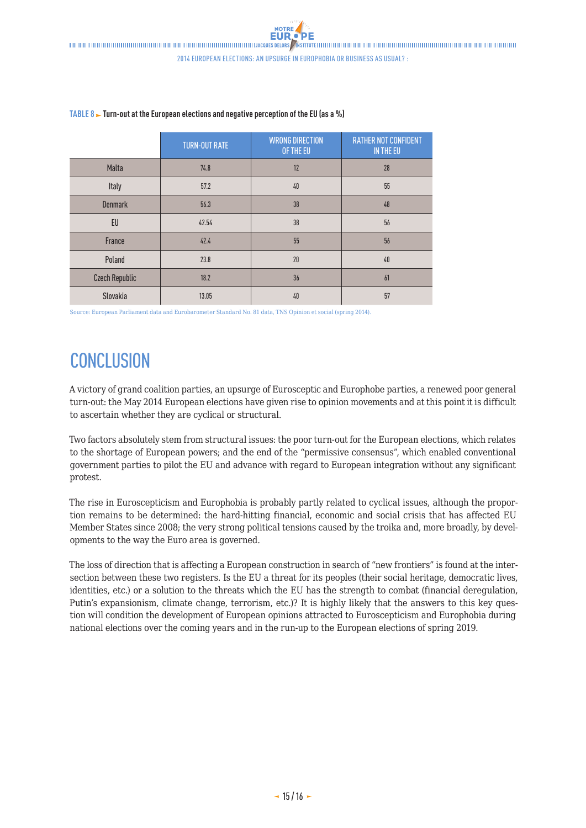|                       | <b>TURN-OUT RATE</b> | <b>WRONG DIRECTION</b><br>OF THE EU | <b>RATHER NOT CONFIDENT</b><br>IN THE EU |
|-----------------------|----------------------|-------------------------------------|------------------------------------------|
| Malta                 | 74.8                 | 12                                  | 28                                       |
| Italy                 | 57.2                 | 40                                  | 55                                       |
| <b>Denmark</b>        | 56.3                 | 38                                  | 48                                       |
| EU                    | 42.54                | 38                                  | 56                                       |
| France                | 42.4                 | 55                                  | 56                                       |
| Poland                | 23.8                 | 20                                  | 40                                       |
| <b>Czech Republic</b> | 18.2                 | 36                                  | 61                                       |
| Slovakia              | 13.05                | 40                                  | 57                                       |

#### <span id="page-14-0"></span>**TABLE 8**  $\blacktriangleright$  **Turn-out at the European elections and negative perception of the EU (as a %)**

Source: European Parliament data and Eurobarometer Standard No. 81 data, TNS Opinion et social (spring 2014).

# **CONCLUSION**

A victory of grand coalition parties, an upsurge of Eurosceptic and Europhobe parties, a renewed poor general turn-out: the May 2014 European elections have given rise to opinion movements and at this point it is difficult to ascertain whether they are cyclical or structural.

Two factors absolutely stem from structural issues: the poor turn-out for the European elections, which relates to the shortage of European powers; and the end of the "permissive consensus", which enabled conventional government parties to pilot the EU and advance with regard to European integration without any significant protest.

The rise in Euroscepticism and Europhobia is probably partly related to cyclical issues, although the proportion remains to be determined: the hard-hitting financial, economic and social crisis that has affected EU Member States since 2008; the very strong political tensions caused by the troika and, more broadly, by developments to the way the Euro area is governed.

The loss of direction that is affecting a European construction in search of "new frontiers" is found at the intersection between these two registers. Is the EU a threat for its peoples (their social heritage, democratic lives, identities, etc.) or a solution to the threats which the EU has the strength to combat (financial deregulation, Putin's expansionism, climate change, terrorism, etc.)? It is highly likely that the answers to this key question will condition the development of European opinions attracted to Euroscepticism and Europhobia during national elections over the coming years and in the run-up to the European elections of spring 2019.